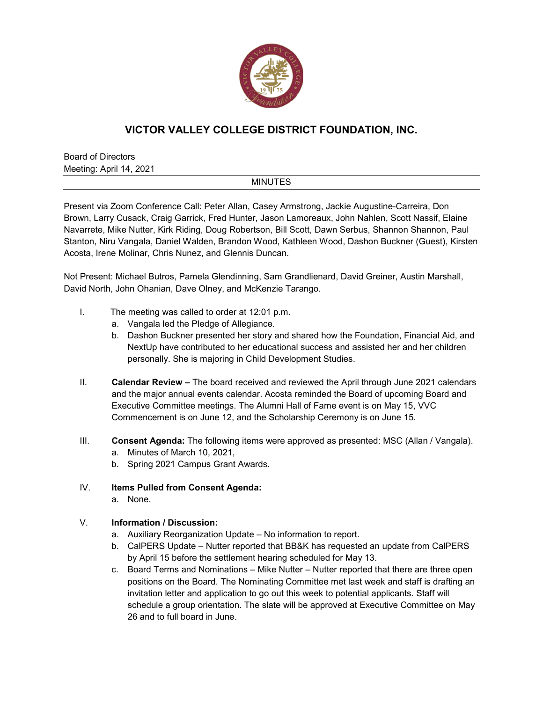

## **VICTOR VALLEY COLLEGE DISTRICT FOUNDATION, INC.**

Board of Directors Meeting: April 14, 2021

## **MINUTES**

Present via Zoom Conference Call: Peter Allan, Casey Armstrong, Jackie Augustine-Carreira, Don Brown, Larry Cusack, Craig Garrick, Fred Hunter, Jason Lamoreaux, John Nahlen, Scott Nassif, Elaine Navarrete, Mike Nutter, Kirk Riding, Doug Robertson, Bill Scott, Dawn Serbus, Shannon Shannon, Paul Stanton, Niru Vangala, Daniel Walden, Brandon Wood, Kathleen Wood, Dashon Buckner (Guest), Kirsten Acosta, Irene Molinar, Chris Nunez, and Glennis Duncan.

Not Present: Michael Butros, Pamela Glendinning, Sam Grandlienard, David Greiner, Austin Marshall, David North, John Ohanian, Dave Olney, and McKenzie Tarango.

- I. The meeting was called to order at 12:01 p.m.
	- a. Vangala led the Pledge of Allegiance.
	- b. Dashon Buckner presented her story and shared how the Foundation, Financial Aid, and NextUp have contributed to her educational success and assisted her and her children personally. She is majoring in Child Development Studies.
- II. **Calendar Review –** The board received and reviewed the April through June 2021 calendars and the major annual events calendar. Acosta reminded the Board of upcoming Board and Executive Committee meetings. The Alumni Hall of Fame event is on May 15, VVC Commencement is on June 12, and the Scholarship Ceremony is on June 15.
- III. **Consent Agenda:** The following items were approved as presented: MSC (Allan / Vangala). a. Minutes of March 10, 2021,
	- b. Spring 2021 Campus Grant Awards.
- IV. **Items Pulled from Consent Agenda:**
	- a. None.
- V. **Information / Discussion:**
	- a. Auxiliary Reorganization Update No information to report.
	- b. CalPERS Update Nutter reported that BB&K has requested an update from CalPERS by April 15 before the settlement hearing scheduled for May 13.
	- c. Board Terms and Nominations Mike Nutter Nutter reported that there are three open positions on the Board. The Nominating Committee met last week and staff is drafting an invitation letter and application to go out this week to potential applicants. Staff will schedule a group orientation. The slate will be approved at Executive Committee on May 26 and to full board in June.